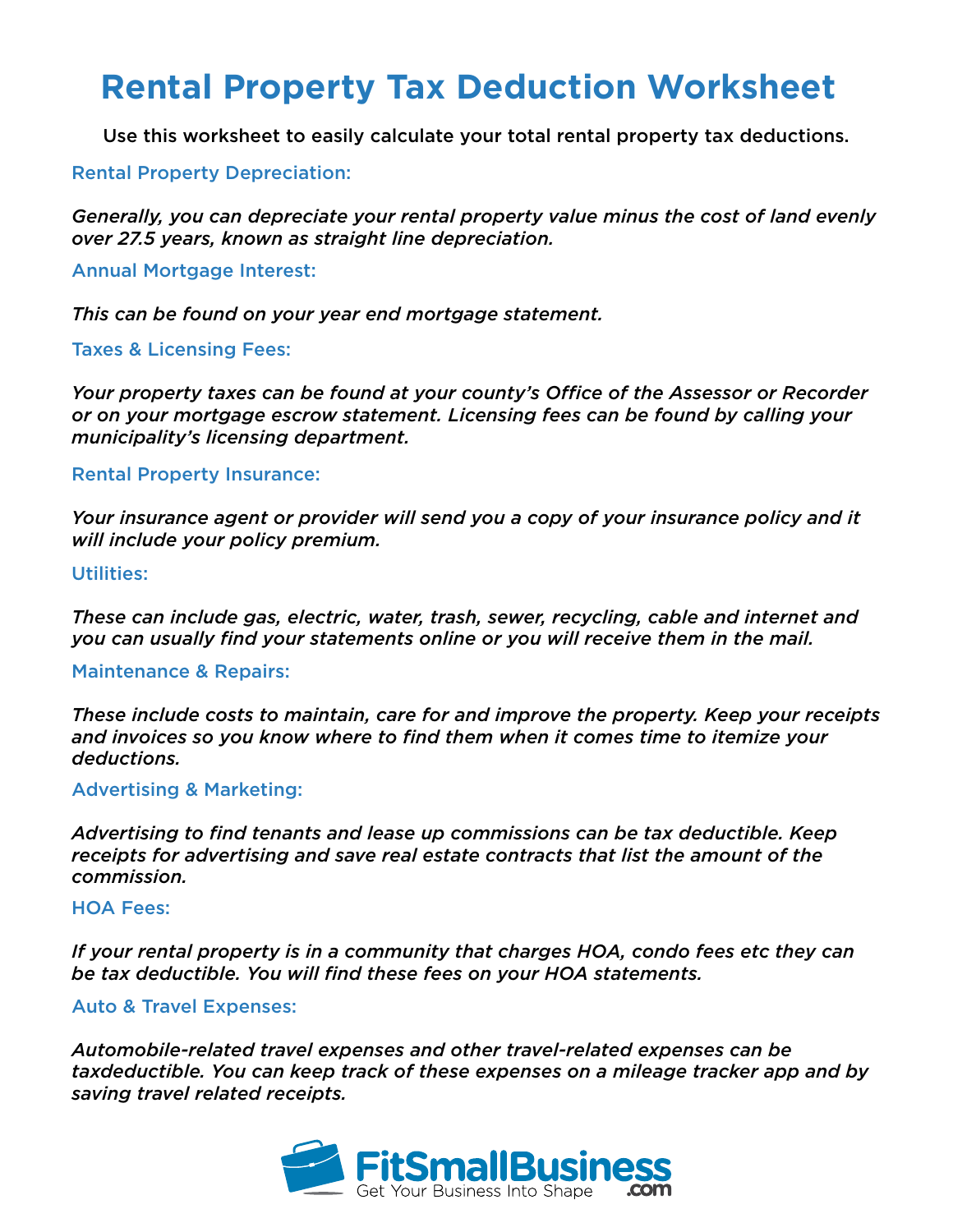# **Rental Property Tax Deduction Worksheet**

Use this worksheet to easily calculate your total rental property tax deductions.

# Rental Property Depreciation:

*Generally, you can depreciate your rental property value minus the cost of land evenly over 27.5 years, known as straight line depreciation.* 

# Annual Mortgage Interest:

*This can be found on your year end mortgage statement.*

# Taxes & Licensing Fees:

*Your property taxes can be found at your county's Office of the Assessor or Recorder or on your mortgage escrow statement. Licensing fees can be found by calling your municipality's licensing department.*

# Rental Property Insurance:

*Your insurance agent or provider will send you a copy of your insurance policy and it will include your policy premium.*

# Utilities:

*These can include gas, electric, water, trash, sewer, recycling, cable and internet and you can usually find your statements online or you will receive them in the mail.*

#### Maintenance & Repairs:

*These include costs to maintain, care for and improve the property. Keep your receipts and invoices so you know where to find them when it comes time to itemize your deductions.*

#### Advertising & Marketing:

*Advertising to find tenants and lease up commissions can be tax deductible. Keep receipts for advertising and save real estate contracts that list the amount of the commission.*

#### HOA Fees:

*If your rental property is in a community that charges HOA, condo fees etc they can be tax deductible. You will find these fees on your HOA statements.*

# Auto & Travel Expenses:

*Automobile-related travel expenses and other travel-related expenses can be taxdeductible. You can keep track of these expenses on a mileage tracker app and by saving travel related receipts.*